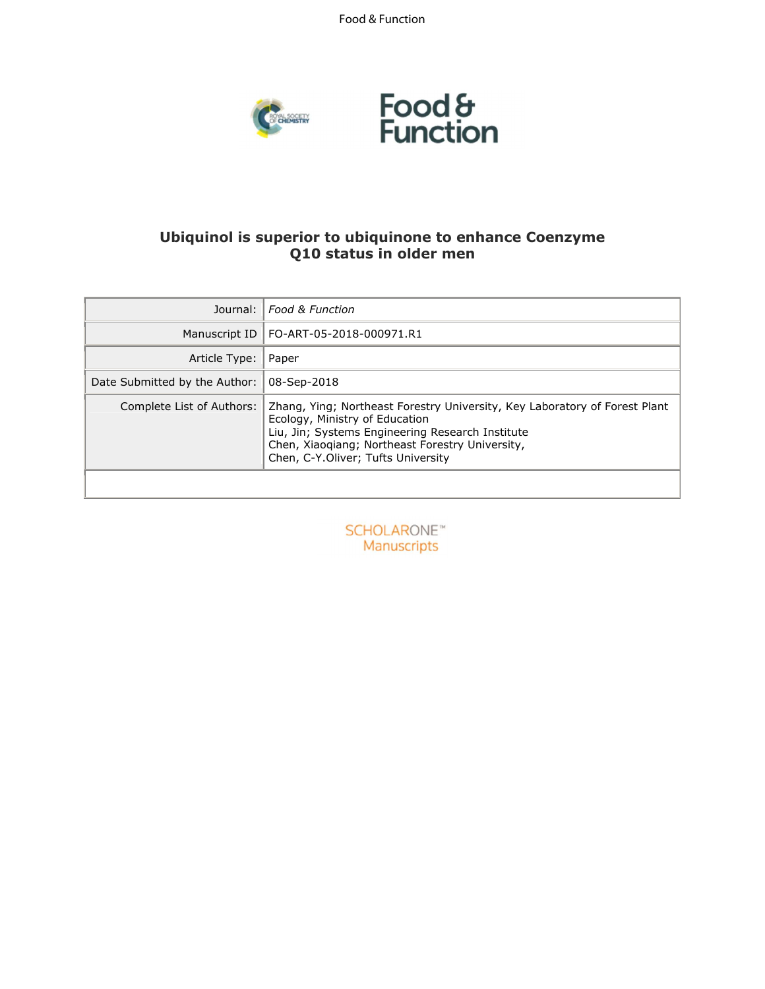Food & Function



# **Ubiquinol is superior to ubiquinone to enhance Coenzyme Q10 status in older men**

| Journal:                      | <b>Food &amp; Function</b>                                                                                                                                                                                                                                |
|-------------------------------|-----------------------------------------------------------------------------------------------------------------------------------------------------------------------------------------------------------------------------------------------------------|
| Manuscript ID                 | FO-ART-05-2018-000971.R1                                                                                                                                                                                                                                  |
| Article Type:                 | Paper                                                                                                                                                                                                                                                     |
| Date Submitted by the Author: | 08-Sep-2018                                                                                                                                                                                                                                               |
| Complete List of Authors:     | Zhang, Ying; Northeast Forestry University, Key Laboratory of Forest Plant<br>Ecology, Ministry of Education<br>Liu, Jin; Systems Engineering Research Institute<br>Chen, Xiaoqiang; Northeast Forestry University,<br>Chen, C-Y.Oliver; Tufts University |

**SCHOLARONE™** Manuscripts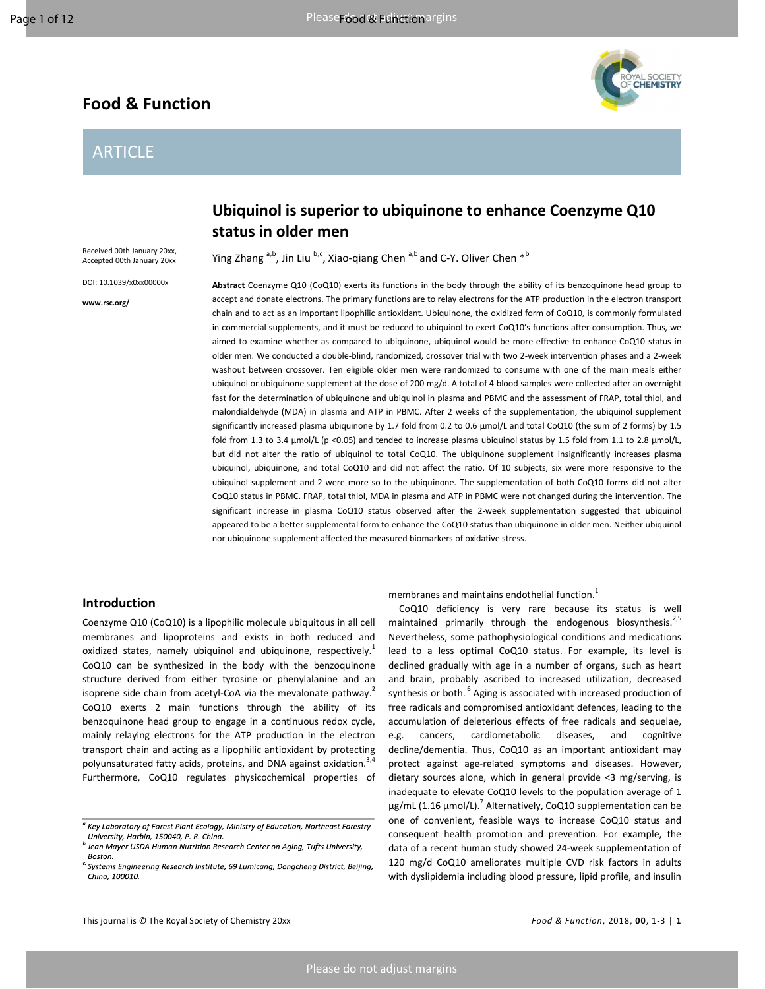# **Food & Function**

# ARTICLE



Received 00th January 20xx, Accepted 00th January 20xx

DOI: 10.1039/x0xx00000x

**www.rsc.org/** 

# **Ubiquinol is superior to ubiquinone to enhance Coenzyme Q10 status in older men**

Ying Zhang  $a,b$ , Jin Liu  $b,c$ , Xiao-qiang Chen  $a,b$  and C-Y. Oliver Chen  $a,b$ 

**Abstract** Coenzyme Q10 (CoQ10) exerts its functions in the body through the ability of its benzoquinone head group to accept and donate electrons. The primary functions are to relay electrons for the ATP production in the electron transport chain and to act as an important lipophilic antioxidant. Ubiquinone, the oxidized form of CoQ10, is commonly formulated in commercial supplements, and it must be reduced to ubiquinol to exert CoQ10's functions after consumption. Thus, we aimed to examine whether as compared to ubiquinone, ubiquinol would be more effective to enhance CoQ10 status in older men. We conducted a double-blind, randomized, crossover trial with two 2-week intervention phases and a 2-week washout between crossover. Ten eligible older men were randomized to consume with one of the main meals either ubiquinol or ubiquinone supplement at the dose of 200 mg/d. A total of 4 blood samples were collected after an overnight fast for the determination of ubiquinone and ubiquinol in plasma and PBMC and the assessment of FRAP, total thiol, and malondialdehyde (MDA) in plasma and ATP in PBMC. After 2 weeks of the supplementation, the ubiquinol supplement significantly increased plasma ubiquinone by 1.7 fold from 0.2 to 0.6 µmol/L and total CoQ10 (the sum of 2 forms) by 1.5 fold from 1.3 to 3.4  $\mu$ mol/L (p <0.05) and tended to increase plasma ubiquinol status by 1.5 fold from 1.1 to 2.8  $\mu$ mol/L, but did not alter the ratio of ubiquinol to total CoQ10. The ubiquinone supplement insignificantly increases plasma ubiquinol, ubiquinone, and total CoQ10 and did not affect the ratio. Of 10 subjects, six were more responsive to the ubiquinol supplement and 2 were more so to the ubiquinone. The supplementation of both CoQ10 forms did not alter CoQ10 status in PBMC. FRAP, total thiol, MDA in plasma and ATP in PBMC were not changed during the intervention. The significant increase in plasma CoQ10 status observed after the 2-week supplementation suggested that ubiquinol appeared to be a better supplemental form to enhance the CoQ10 status than ubiquinone in older men. Neither ubiquinol nor ubiquinone supplement affected the measured biomarkers of oxidative stress.

## **Introduction**

Coenzyme Q10 (CoQ10) is a lipophilic molecule ubiquitous in all cell membranes and lipoproteins and exists in both reduced and oxidized states, namely ubiquinol and ubiquinone, respectively.<sup>1</sup> CoQ10 can be synthesized in the body with the benzoquinone structure derived from either tyrosine or phenylalanine and an isoprene side chain from acetyl-CoA via the mevalonate pathway.<sup>2</sup> CoQ10 exerts 2 main functions through the ability of its benzoquinone head group to engage in a continuous redox cycle, mainly relaying electrons for the ATP production in the electron transport chain and acting as a lipophilic antioxidant by protecting polyunsaturated fatty acids, proteins, and DNA against oxidation.<sup>3</sup> Furthermore, CoQ10 regulates physicochemical properties of membranes and maintains endothelial function.<sup>1</sup>

CoQ10 deficiency is very rare because its status is well maintained primarily through the endogenous biosynthesis.<sup>2,5</sup> Nevertheless, some pathophysiological conditions and medications lead to a less optimal CoQ10 status. For example, its level is declined gradually with age in a number of organs, such as heart and brain, probably ascribed to increased utilization, decreased synthesis or both.<sup>6</sup> Aging is associated with increased production of free radicals and compromised antioxidant defences, leading to the accumulation of deleterious effects of free radicals and sequelae, e.g. cancers, cardiometabolic diseases, and cognitive decline/dementia. Thus, CoQ10 as an important antioxidant may protect against age-related symptoms and diseases. However, dietary sources alone, which in general provide <3 mg/serving, is inadequate to elevate CoQ10 levels to the population average of 1 μg/mL (1.16 μmol/L).<sup>7</sup> Alternatively, CoQ10 supplementation can be one of convenient, feasible ways to increase CoQ10 status and consequent health promotion and prevention. For example, the data of a recent human study showed 24-week supplementation of 120 mg/d CoQ10 ameliorates multiple CVD risk factors in adults with dyslipidemia including blood pressure, lipid profile, and insulin

<sup>&</sup>lt;sup>a.</sup> Key Laboratory of Forest Plant Ecology, Ministry of Education, Northeast Forestry University, Harbin, 150040, P. R. China

<sup>&</sup>lt;sup>b.</sup> Jean Mayer USDA Human Nutrition Research Center on Aging, Tufts University, Boston.

<sup>&</sup>lt;sup>c.</sup> Systems Engineering Research Institute, 69 Lumicang, Dongcheng District, Beijing, China, 100010.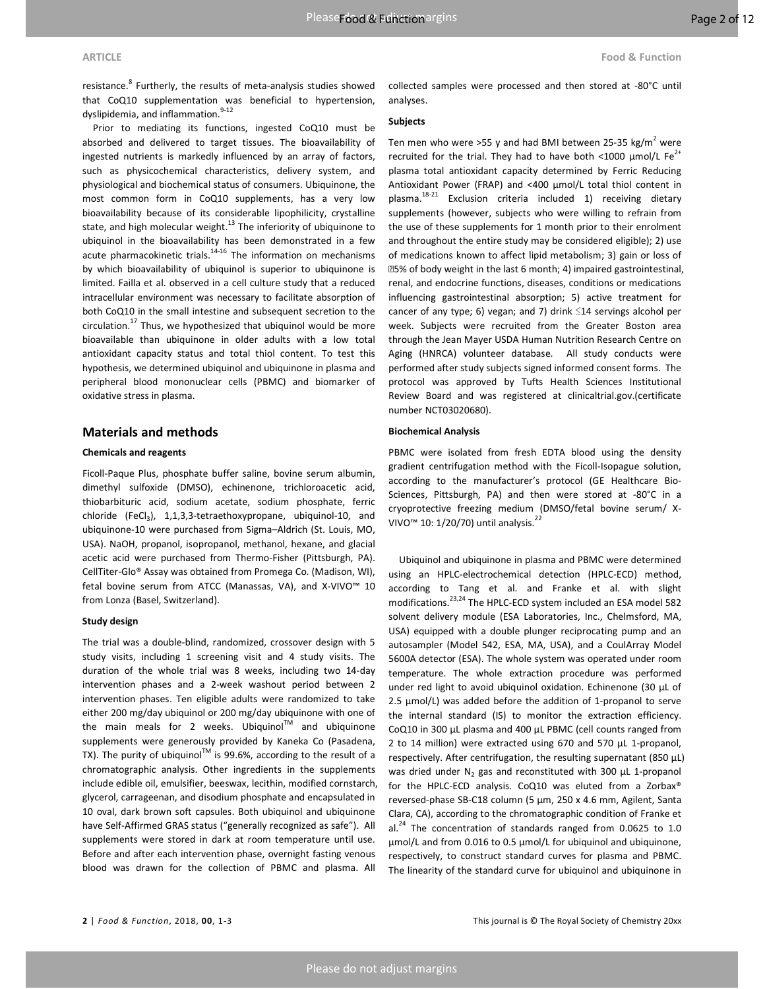#### **ARTICLE Food & Function**

resistance.<sup>8</sup> Furtherly, the results of meta-analysis studies showed

that CoQ10 supplementation was beneficial to hypertension, dyslipidemia, and inflammation.<sup>9-12</sup>

Prior to mediating its functions, ingested CoQ10 must be absorbed and delivered to target tissues. The bioavailability of ingested nutrients is markedly influenced by an array of factors, such as physicochemical characteristics, delivery system, and physiological and biochemical status of consumers. Ubiquinone, the most common form in CoQ10 supplements, has a very low bioavailability because of its considerable lipophilicity, crystalline state, and high molecular weight. $^{13}$  The inferiority of ubiquinone to ubiquinol in the bioavailability has been demonstrated in a few acute pharmacokinetic trials.<sup>14-16</sup> The information on mechanisms by which bioavailability of ubiquinol is superior to ubiquinone is limited. Failla et al. observed in a cell culture study that a reduced intracellular environment was necessary to facilitate absorption of both CoQ10 in the small intestine and subsequent secretion to the circulation.<sup>17</sup> Thus, we hypothesized that ubiquinol would be more bioavailable than ubiquinone in older adults with a low total antioxidant capacity status and total thiol content. To test this hypothesis, we determined ubiquinol and ubiquinone in plasma and peripheral blood mononuclear cells (PBMC) and biomarker of oxidative stress in plasma.

## **Materials and methods**

#### **Chemicals and reagents**

Ficoll-Paque Plus, phosphate buffer saline, bovine serum albumin, dimethyl sulfoxide (DMSO), echinenone, trichloroacetic acid, thiobarbituric acid, sodium acetate, sodium phosphate, ferric chloride (FeCl<sub>3</sub>), 1,1,3,3-tetraethoxypropane, ubiquinol-10, and ubiquinone-10 were purchased from Sigma–Aldrich (St. Louis, MO, USA). NaOH, propanol, isopropanol, methanol, hexane, and glacial acetic acid were purchased from Thermo-Fisher (Pittsburgh, PA). CellTiter-Glo® Assay was obtained from Promega Co. (Madison, WI), fetal bovine serum from ATCC (Manassas, VA), and X-VIVO™ 10 from Lonza (Basel, Switzerland).

#### **Study design**

The trial was a double-blind, randomized, crossover design with 5 study visits, including 1 screening visit and 4 study visits. The duration of the whole trial was 8 weeks, including two 14-day intervention phases and a 2-week washout period between 2 intervention phases. Ten eligible adults were randomized to take either 200 mg/day ubiquinol or 200 mg/day ubiquinone with one of the main meals for 2 weeks. Ubiquinol<sup>TM</sup> and ubiquinone supplements were generously provided by Kaneka Co (Pasadena, TX). The purity of ubiquinol<sup>™</sup> is 99.6%, according to the result of a chromatographic analysis. Other ingredients in the supplements include edible oil, emulsifier, beeswax, lecithin, modified cornstarch, glycerol, carrageenan, and disodium phosphate and encapsulated in 10 oval, dark brown soft capsules. Both ubiquinol and ubiquinone have Self-Affirmed GRAS status ("generally recognized as safe"). All supplements were stored in dark at room temperature until use. Before and after each intervention phase, overnight fasting venous blood was drawn for the collection of PBMC and plasma. All collected samples were processed and then stored at -80°C until analyses.

#### **Subjects**

Ten men who were >55 y and had BMI between 25-35 kg/m<sup>2</sup> were recruited for the trial. They had to have both <1000  $\mu$ mol/L Fe<sup>2+</sup> plasma total antioxidant capacity determined by Ferric Reducing Antioxidant Power (FRAP) and <400 µmol/L total thiol content in plasma.<sup>18-21</sup> Exclusion criteria included 1) receiving dietary supplements (however, subjects who were willing to refrain from the use of these supplements for 1 month prior to their enrolment and throughout the entire study may be considered eligible); 2) use of medications known to affect lipid metabolism; 3) gain or loss of 5% of body weight in the last 6 month; 4) impaired gastrointestinal, renal, and endocrine functions, diseases, conditions or medications influencing gastrointestinal absorption; 5) active treatment for cancer of any type; 6) vegan; and 7) drink  $\leq$ 14 servings alcohol per week. Subjects were recruited from the Greater Boston area through the Jean Mayer USDA Human Nutrition Research Centre on Aging (HNRCA) volunteer database. All study conducts were performed after study subjects signed informed consent forms. The protocol was approved by Tufts Health Sciences Institutional Review Board and was registered at clinicaltrial.gov.(certificate number NCT03020680).

#### **Biochemical Analysis**

PBMC were isolated from fresh EDTA blood using the density gradient centrifugation method with the Ficoll-Isopague solution, according to the manufacturer's protocol (GE Healthcare Bio-Sciences, Pittsburgh, PA) and then were stored at -80°C in a cryoprotective freezing medium (DMSO/fetal bovine serum/ X-VIVO<sup>™</sup> 10: 1/20/70) until analysis.<sup>22</sup>

Ubiquinol and ubiquinone in plasma and PBMC were determined using an HPLC-electrochemical detection (HPLC-ECD) method, according to Tang et al. and Franke et al. with slight modifications.23,24 The HPLC-ECD system included an ESA model 582 solvent delivery module (ESA Laboratories, Inc., Chelmsford, MA, USA) equipped with a double plunger reciprocating pump and an autosampler (Model 542, ESA, MA, USA), and a CoulArray Model 5600A detector (ESA). The whole system was operated under room temperature. The whole extraction procedure was performed under red light to avoid ubiquinol oxidation. Echinenone (30 µL of 2.5 µmol/L) was added before the addition of 1-propanol to serve the internal standard (IS) to monitor the extraction efficiency. CoQ10 in 300 µL plasma and 400 μL PBMC (cell counts ranged from 2 to 14 million) were extracted using 670 and 570 μL 1-propanol, respectively. After centrifugation, the resulting supernatant (850 µL) was dried under  $N_2$  gas and reconstituted with 300  $\mu$ L 1-propanol for the HPLC-ECD analysis. CoQ10 was eluted from a Zorbax® reversed-phase SB-C18 column (5 µm, 250 x 4.6 mm, Agilent, Santa Clara, CA), according to the chromatographic condition of Franke et al. $^{24}$  The concentration of standards ranged from 0.0625 to 1.0 µmol/L and from 0.016 to 0.5 µmol/L for ubiquinol and ubiquinone, respectively, to construct standard curves for plasma and PBMC. The linearity of the standard curve for ubiquinol and ubiquinone in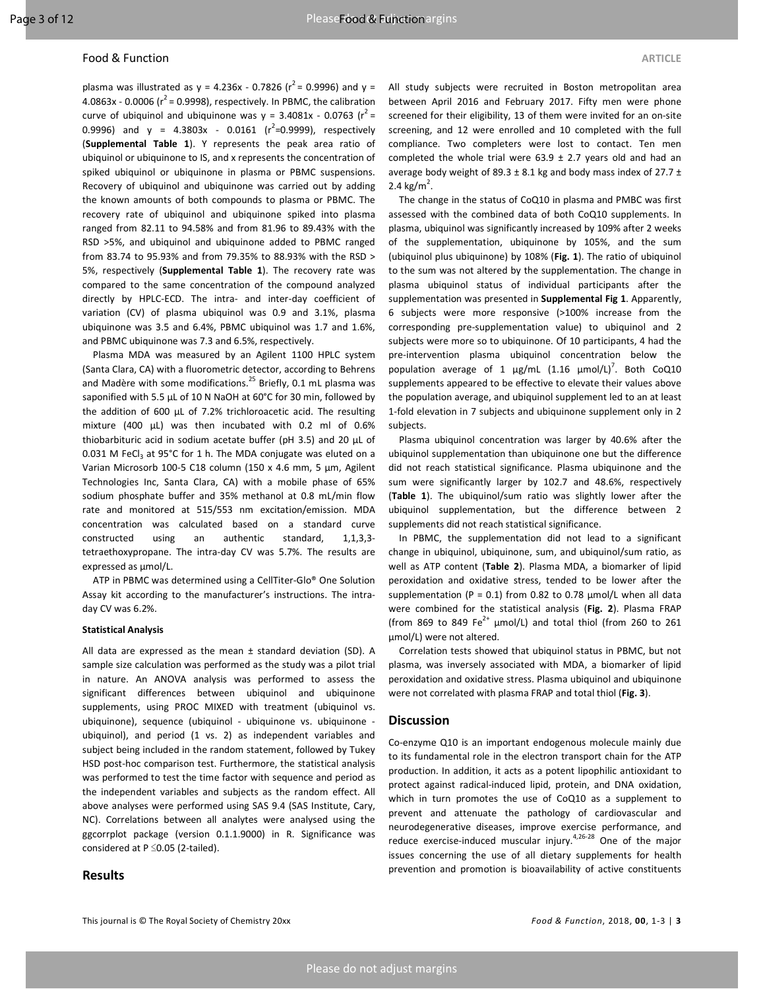#### **Food & Function** ARTICLE

plasma was illustrated as  $y = 4.236x - 0.7826$  ( $r^2 = 0.9996$ ) and  $y =$ 4.0863x - 0.0006 ( $r^2$  = 0.9998), respectively. In PBMC, the calibration curve of ubiquinol and ubiquinone was  $y = 3.4081x - 0.0763 (r^2 =$ 0.9996) and  $y = 4.3803x - 0.0161 (r^2=0.9999)$ , respectively (**Supplemental Table 1**). Y represents the peak area ratio of ubiquinol or ubiquinone to IS, and x represents the concentration of spiked ubiquinol or ubiquinone in plasma or PBMC suspensions. Recovery of ubiquinol and ubiquinone was carried out by adding the known amounts of both compounds to plasma or PBMC. The recovery rate of ubiquinol and ubiquinone spiked into plasma ranged from 82.11 to 94.58% and from 81.96 to 89.43% with the RSD >5%, and ubiquinol and ubiquinone added to PBMC ranged from 83.74 to 95.93% and from 79.35% to 88.93% with the RSD > 5%, respectively (**Supplemental Table 1**). The recovery rate was compared to the same concentration of the compound analyzed directly by HPLC-ECD. The intra- and inter-day coefficient of variation (CV) of plasma ubiquinol was 0.9 and 3.1%, plasma ubiquinone was 3.5 and 6.4%, PBMC ubiquinol was 1.7 and 1.6%, and PBMC ubiquinone was 7.3 and 6.5%, respectively.

Plasma MDA was measured by an Agilent 1100 HPLC system (Santa Clara, CA) with a fluorometric detector, according to Behrens and Madère with some modifications.<sup>25</sup> Briefly, 0.1 mL plasma was saponified with 5.5 µL of 10 N NaOH at 60°C for 30 min, followed by the addition of 600 µL of 7.2% trichloroacetic acid. The resulting mixture (400 µL) was then incubated with 0.2 ml of 0.6% thiobarbituric acid in sodium acetate buffer (pH 3.5) and 20 µL of  $0.031$  M FeCl<sub>3</sub> at 95°C for 1 h. The MDA conjugate was eluted on a Varian Microsorb 100-5 C18 column (150 x 4.6 mm, 5 µm, Agilent Technologies Inc, Santa Clara, CA) with a mobile phase of 65% sodium phosphate buffer and 35% methanol at 0.8 mL/min flow rate and monitored at 515/553 nm excitation/emission. MDA concentration was calculated based on a standard curve constructed using an authentic standard, 1,1,3,3 tetraethoxypropane. The intra-day CV was 5.7%. The results are expressed as μmol/L.

ATP in PBMC was determined using a CellTiter-Glo® One Solution Assay kit according to the manufacturer's instructions. The intraday CV was 6.2%.

#### **Statistical Analysis**

All data are expressed as the mean  $\pm$  standard deviation (SD). A sample size calculation was performed as the study was a pilot trial in nature. An ANOVA analysis was performed to assess the significant differences between ubiquinol and ubiquinone supplements, using PROC MIXED with treatment (ubiquinol vs. ubiquinone), sequence (ubiquinol - ubiquinone vs. ubiquinone ubiquinol), and period (1 vs. 2) as independent variables and subject being included in the random statement, followed by Tukey HSD post-hoc comparison test. Furthermore, the statistical analysis was performed to test the time factor with sequence and period as the independent variables and subjects as the random effect. All above analyses were performed using SAS 9.4 (SAS Institute, Cary, NC). Correlations between all analytes were analysed using the ggcorrplot package (version 0.1.1.9000) in R. Significance was considered at P ≤0.05 (2-tailed).

#### **Results**

All study subjects were recruited in Boston metropolitan area between April 2016 and February 2017. Fifty men were phone screened for their eligibility, 13 of them were invited for an on-site screening, and 12 were enrolled and 10 completed with the full compliance. Two completers were lost to contact. Ten men completed the whole trial were  $63.9 \pm 2.7$  years old and had an average body weight of 89.3  $\pm$  8.1 kg and body mass index of 27.7  $\pm$ 2.4 kg/m<sup>2</sup>.

The change in the status of CoQ10 in plasma and PMBC was first assessed with the combined data of both CoQ10 supplements. In plasma, ubiquinol was significantly increased by 109% after 2 weeks of the supplementation, ubiquinone by 105%, and the sum (ubiquinol plus ubiquinone) by 108% (**Fig. 1**). The ratio of ubiquinol to the sum was not altered by the supplementation. The change in plasma ubiquinol status of individual participants after the supplementation was presented in **Supplemental Fig 1**. Apparently, 6 subjects were more responsive (>100% increase from the corresponding pre-supplementation value) to ubiquinol and 2 subjects were more so to ubiquinone. Of 10 participants, 4 had the pre-intervention plasma ubiquinol concentration below the population average of 1  $\mu$ g/mL (1.16  $\mu$ mol/L)<sup>7</sup>. Both CoQ10 supplements appeared to be effective to elevate their values above the population average, and ubiquinol supplement led to an at least 1-fold elevation in 7 subjects and ubiquinone supplement only in 2 subjects.

Plasma ubiquinol concentration was larger by 40.6% after the ubiquinol supplementation than ubiquinone one but the difference did not reach statistical significance. Plasma ubiquinone and the sum were significantly larger by 102.7 and 48.6%, respectively (**Table 1**). The ubiquinol/sum ratio was slightly lower after the ubiquinol supplementation, but the difference between 2 supplements did not reach statistical significance.

In PBMC, the supplementation did not lead to a significant change in ubiquinol, ubiquinone, sum, and ubiquinol/sum ratio, as well as ATP content (**Table 2**). Plasma MDA, a biomarker of lipid peroxidation and oxidative stress, tended to be lower after the supplementation (P = 0.1) from 0.82 to 0.78  $\mu$ mol/L when all data were combined for the statistical analysis (**Fig. 2**). Plasma FRAP (from 869 to 849 Fe<sup>2+</sup> µmol/L) and total thiol (from 260 to 261 µmol/L) were not altered.

Correlation tests showed that ubiquinol status in PBMC, but not plasma, was inversely associated with MDA, a biomarker of lipid peroxidation and oxidative stress. Plasma ubiquinol and ubiquinone were not correlated with plasma FRAP and total thiol (**Fig. 3**).

### **Discussion**

Co-enzyme Q10 is an important endogenous molecule mainly due to its fundamental role in the electron transport chain for the ATP production. In addition, it acts as a potent lipophilic antioxidant to protect against radical-induced lipid, protein, and DNA oxidation, which in turn promotes the use of CoQ10 as a supplement to prevent and attenuate the pathology of cardiovascular and neurodegenerative diseases, improve exercise performance, and reduce exercise-induced muscular injury. $4,26-28$  One of the major issues concerning the use of all dietary supplements for health prevention and promotion is bioavailability of active constituents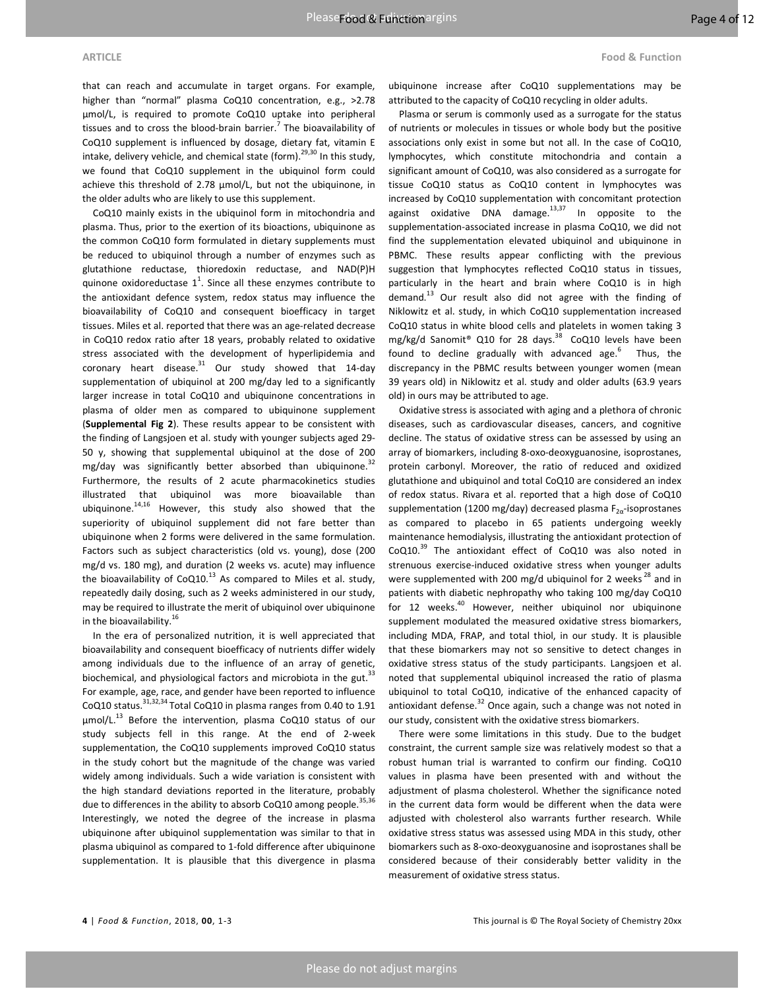that can reach and accumulate in target organs. For example, higher than "normal" plasma CoQ10 concentration, e.g., >2.78 μmol/L, is required to promote CoQ10 uptake into peripheral tissues and to cross the blood-brain barrier.<sup>7</sup> The bioavailability of CoQ10 supplement is influenced by dosage, dietary fat, vitamin E intake, delivery vehicle, and chemical state (form). $^{29,30}$  In this study, we found that CoQ10 supplement in the ubiquinol form could achieve this threshold of 2.78 μmol/L, but not the ubiquinone, in the older adults who are likely to use this supplement.

CoQ10 mainly exists in the ubiquinol form in mitochondria and plasma. Thus, prior to the exertion of its bioactions, ubiquinone as the common CoQ10 form formulated in dietary supplements must be reduced to ubiquinol through a number of enzymes such as glutathione reductase, thioredoxin reductase, and NAD(P)H quinone oxidoreductase  $1^1$ . Since all these enzymes contribute to the antioxidant defence system, redox status may influence the bioavailability of CoQ10 and consequent bioefficacy in target tissues. Miles et al. reported that there was an age-related decrease in CoQ10 redox ratio after 18 years, probably related to oxidative stress associated with the development of hyperlipidemia and coronary heart disease. $31$  Our study showed that 14-day supplementation of ubiquinol at 200 mg/day led to a significantly larger increase in total CoQ10 and ubiquinone concentrations in plasma of older men as compared to ubiquinone supplement (**Supplemental Fig 2**). These results appear to be consistent with the finding of Langsjoen et al. study with younger subjects aged 29- 50 y, showing that supplemental ubiquinol at the dose of 200 mg/day was significantly better absorbed than ubiquinone. $32$ Furthermore, the results of 2 acute pharmacokinetics studies illustrated that ubiquinol was more bioavailable than ubiquinone. $^{14,16}$  However, this study also showed that the superiority of ubiquinol supplement did not fare better than ubiquinone when 2 forms were delivered in the same formulation. Factors such as subject characteristics (old vs. young), dose (200 mg/d vs. 180 mg), and duration (2 weeks vs. acute) may influence the bioavailability of  $CoQ10.<sup>13</sup>$  As compared to Miles et al. study, repeatedly daily dosing, such as 2 weeks administered in our study, may be required to illustrate the merit of ubiquinol over ubiquinone in the bioavailability. $^{16}$ 

In the era of personalized nutrition, it is well appreciated that bioavailability and consequent bioefficacy of nutrients differ widely among individuals due to the influence of an array of genetic, biochemical, and physiological factors and microbiota in the gut.<sup>33</sup> For example, age, race, and gender have been reported to influence CoQ10 status.31,32,34 Total CoQ10 in plasma ranges from 0.40 to 1.91  $\mu$ mol/L.<sup>13</sup> Before the intervention, plasma CoQ10 status of our study subjects fell in this range. At the end of 2-week supplementation, the CoQ10 supplements improved CoQ10 status in the study cohort but the magnitude of the change was varied widely among individuals. Such a wide variation is consistent with the high standard deviations reported in the literature, probably due to differences in the ability to absorb CoQ10 among people.<sup>35,36</sup> Interestingly, we noted the degree of the increase in plasma ubiquinone after ubiquinol supplementation was similar to that in plasma ubiquinol as compared to 1-fold difference after ubiquinone supplementation. It is plausible that this divergence in plasma

ubiquinone increase after CoQ10 supplementations may be attributed to the capacity of CoQ10 recycling in older adults.

Plasma or serum is commonly used as a surrogate for the status of nutrients or molecules in tissues or whole body but the positive associations only exist in some but not all. In the case of CoQ10, lymphocytes, which constitute mitochondria and contain a significant amount of CoQ10, was also considered as a surrogate for tissue CoQ10 status as CoQ10 content in lymphocytes was increased by CoQ10 supplementation with concomitant protection against oxidative DNA damage. $13,37$  In opposite to the supplementation-associated increase in plasma CoQ10, we did not find the supplementation elevated ubiquinol and ubiquinone in PBMC. These results appear conflicting with the previous suggestion that lymphocytes reflected CoQ10 status in tissues, particularly in the heart and brain where CoQ10 is in high demand.<sup>13</sup> Our result also did not agree with the finding of Niklowitz et al. study, in which CoQ10 supplementation increased CoQ10 status in white blood cells and platelets in women taking 3 mg/kg/d Sanomit<sup>®</sup> Q10 for 28 days.<sup>38</sup> CoQ10 levels have been found to decline gradually with advanced age.<sup>6</sup> Thus, the discrepancy in the PBMC results between younger women (mean 39 years old) in Niklowitz et al. study and older adults (63.9 years old) in ours may be attributed to age.

Oxidative stress is associated with aging and a plethora of chronic diseases, such as cardiovascular diseases, cancers, and cognitive decline. The status of oxidative stress can be assessed by using an array of biomarkers, including 8-oxo-deoxyguanosine, isoprostanes, protein carbonyl. Moreover, the ratio of reduced and oxidized glutathione and ubiquinol and total CoQ10 are considered an index of redox status. Rivara et al. reported that a high dose of CoQ10 supplementation (1200 mg/day) decreased plasma  $F_{2\alpha}$ -isoprostanes as compared to placebo in 65 patients undergoing weekly maintenance hemodialysis, illustrating the antioxidant protection of  $CoQ10.<sup>39</sup>$  The antioxidant effect of  $CoQ10$  was also noted in strenuous exercise-induced oxidative stress when younger adults were supplemented with 200 mg/d ubiquinol for 2 weeks<sup>28</sup> and in patients with diabetic nephropathy who taking 100 mg/day CoQ10 for 12 weeks. $40$  However, neither ubiquinol nor ubiquinone supplement modulated the measured oxidative stress biomarkers, including MDA, FRAP, and total thiol, in our study. It is plausible that these biomarkers may not so sensitive to detect changes in oxidative stress status of the study participants. Langsjoen et al. noted that supplemental ubiquinol increased the ratio of plasma ubiquinol to total CoQ10, indicative of the enhanced capacity of antioxidant defense. $32$  Once again, such a change was not noted in our study, consistent with the oxidative stress biomarkers.

There were some limitations in this study. Due to the budget constraint, the current sample size was relatively modest so that a robust human trial is warranted to confirm our finding. CoQ10 values in plasma have been presented with and without the adjustment of plasma cholesterol. Whether the significance noted in the current data form would be different when the data were adjusted with cholesterol also warrants further research. While oxidative stress status was assessed using MDA in this study, other biomarkers such as 8-oxo-deoxyguanosine and isoprostanes shall be considered because of their considerably better validity in the measurement of oxidative stress status.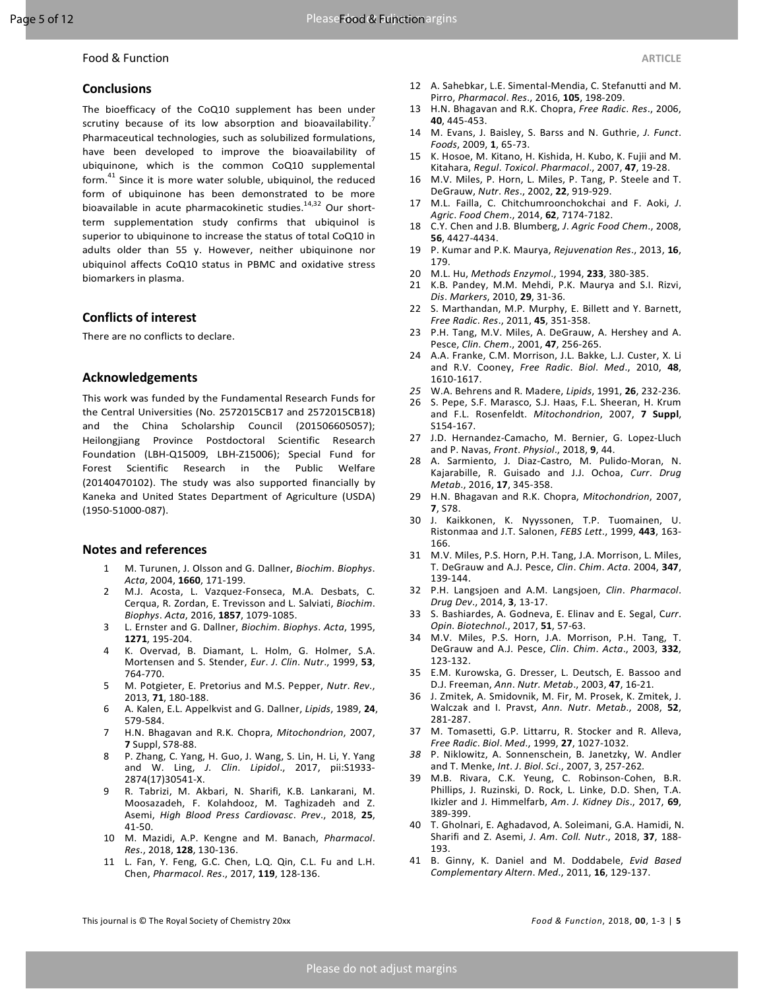# **Conclusions**

The bioefficacy of the CoQ10 supplement has been under scrutiny because of its low absorption and bioavailability.<sup>1</sup> Pharmaceutical technologies, such as solubilized formulations, have been developed to improve the bioavailability of ubiquinone, which is the common CoQ10 supplemental form. $41$  Since it is more water soluble, ubiquinol, the reduced form of ubiquinone has been demonstrated to be more bioavailable in acute pharmacokinetic studies. $14,32$  Our shortterm supplementation study confirms that ubiquinol is superior to ubiquinone to increase the status of total CoQ10 in adults older than 55 y. However, neither ubiquinone nor ubiquinol affects CoQ10 status in PBMC and oxidative stress biomarkers in plasma.

## **Conflicts of interest**

There are no conflicts to declare.

## **Acknowledgements**

This work was funded by the Fundamental Research Funds for the Central Universities (No. 2572015CB17 and 2572015CB18) and the China Scholarship Council (201506605057); Heilongjiang Province Postdoctoral Scientific Research Foundation (LBH-Q15009, LBH-Z15006); Special Fund for Forest Scientific Research in the Public Welfare (20140470102). The study was also supported financially by Kaneka and United States Department of Agriculture (USDA) (1950-51000-087).

### **Notes and references**

- 1 M. Turunen, J. Olsson and G. Dallner, *Biochim*. *Biophys*. *Acta*, 2004, **1660**, 171-199.
- 2 M.J. Acosta, L. Vazquez-Fonseca, M.A. Desbats, C. Cerqua, R. Zordan, E. Trevisson and L. Salviati, *Biochim*. *Biophys*. *Acta*, 2016, **1857**, 1079-1085.
- 3 L. Ernster and G. Dallner, *Biochim*. *Biophys*. *Acta*, 1995, **1271**, 195-204.
- 4 K. Overvad, B. Diamant, L. Holm, G. Holmer, S.A. Mortensen and S. Stender, *Eur*. *J*. *Clin*. *Nutr*., 1999, **53**, 764-770.
- 5 M. Potgieter, E. Pretorius and M.S. Pepper, *Nutr*. *Rev*., 2013, **71**, 180-188.
- 6 A. Kalen, E.L. Appelkvist and G. Dallner, *Lipids*, 1989, **24**, 579-584.
- 7 H.N. Bhagavan and R.K. Chopra, *Mitochondrion*, 2007, **7** Suppl, S78-88.
- 8 P. Zhang, C. Yang, H. Guo, J. Wang, S. Lin, H. Li, Y. Yang and W. Ling, *J*. *Clin*. *Lipidol*., 2017, pii:S1933- 2874(17)30541-X.
- 9 R. Tabrizi, M. Akbari, N. Sharifi, K.B. Lankarani, M. Moosazadeh, F. Kolahdooz, M. Taghizadeh and Z. Asemi, *High Blood Press Cardiovasc*. *Prev*., 2018, **25**, 41-50.
- 10 M. Mazidi, A.P. Kengne and M. Banach, *Pharmacol*. *Res*., 2018, **128**, 130-136.
- 11 L. Fan, Y. Feng, G.C. Chen, L.Q. Qin, C.L. Fu and L.H. Chen, *Pharmacol*. *Res*., 2017, **119**, 128-136.
- 12 A. Sahebkar, L.E. Simental-Mendia, C. Stefanutti and M. Pirro, *Pharmacol*. *Res*., 2016, **105**, 198-209.
- 13 H.N. Bhagavan and R.K. Chopra, *Free Radic*. *Res*., 2006, **40**, 445-453.
- 14 M. Evans, J. Baisley, S. Barss and N. Guthrie, *J*. *Funct*. *Foods*, 2009, **1**, 65-73.
- 15 K. Hosoe, M. Kitano, H. Kishida, H. Kubo, K. Fujii and M. Kitahara, *Regul*. *Toxicol*. *Pharmacol*., 2007, **47**, 19-28.
- 16 M.V. Miles, P. Horn, L. Miles, P. Tang, P. Steele and T. DeGrauw, *Nutr*. *Res*., 2002, **22**, 919-929.
- 17 M.L. Failla, C. Chitchumroonchokchai and F. Aoki, *J*. *Agric*. *Food Chem*., 2014, **62**, 7174-7182.
- 18 C.Y. Chen and J.B. Blumberg, *J*. *Agric Food Chem*., 2008, **56**, 4427-4434.
- 19 P. Kumar and P.K. Maurya, *Rejuvenation Res*., 2013, **16**, 179.
- 20 M.L. Hu, *Methods Enzymol*., 1994, **233**, 380-385.
- 21 K.B. Pandey, M.M. Mehdi, P.K. Maurya and S.I. Rizvi, *Dis*. *Markers*, 2010, **29**, 31-36.
- 22 S. Marthandan, M.P. Murphy, E. Billett and Y. Barnett, *Free Radic*. *Res*., 2011, **45**, 351-358.
- 23 P.H. Tang, M.V. Miles, A. DeGrauw, A. Hershey and A. Pesce, *Clin*. *Chem*., 2001, **47**, 256-265.
- 24 A.A. Franke, C.M. Morrison, J.L. Bakke, L.J. Custer, X. Li and R.V. Cooney, *Free Radic*. *Biol*. *Med*., 2010, **48**, 1610-1617.
- *25* W.A. Behrens and R. Madere, *Lipids*, 1991, **26**, 232-236*.*
- 26 S. Pepe, S.F. Marasco, S.J. Haas, F.L. Sheeran, H. Krum and F.L. Rosenfeldt. *Mitochondrion*, 2007, **7 Suppl**, S154-167.
- 27 J.D. Hernandez-Camacho, M. Bernier, G. Lopez-Lluch and P. Navas, *Front*. *Physiol*., 2018, **9**, 44.
- 28 A. Sarmiento, J. Diaz-Castro, M. Pulido-Moran, N. Kajarabille, R. Guisado and J.J. Ochoa, *Curr*. *Drug Metab*., 2016, **17**, 345-358.
- 29 H.N. Bhagavan and R.K. Chopra, *Mitochondrion*, 2007, **7**, S78.
- 30 J. Kaikkonen, K. Nyyssonen, T.P. Tuomainen, U. Ristonmaa and J.T. Salonen, *FEBS Lett*., 1999, **443**, 163- 166.
- 31 M.V. Miles, P.S. Horn, P.H. Tang, J.A. Morrison, L. Miles, T. DeGrauw and A.J. Pesce, *Clin*. *Chim*. *Acta*. 2004, **347**, 139-144.
- 32 P.H. Langsjoen and A.M. Langsjoen, *Clin*. *Pharmacol*. *Drug Dev*., 2014, **3**, 13-17.
- 33 S. Bashiardes, A. Godneva, E. Elinav and E. Segal, C*urr*. *Opin*. *Biotechnol*., 2017, **51**, 57-63.
- 34 M.V. Miles, P.S. Horn, J.A. Morrison, P.H. Tang, T. DeGrauw and A.J. Pesce, *Clin*. *Chim*. *Acta*., 2003, **332**, 123-132.
- 35 E.M. Kurowska, G. Dresser, L. Deutsch, E. Bassoo and D.J. Freeman, *Ann*. *Nutr. Metab*., 2003, **47**, 16-21.
- 36 J. Zmitek, A. Smidovnik, M. Fir, M. Prosek, K. Zmitek, J. Walczak and I. Pravst, *Ann*. *Nutr*. *Metab*., 2008, **52**, 281-287.
- 37 M. Tomasetti, G.P. Littarru, R. Stocker and R. Alleva, *Free Radic*. *Biol*. *Med*., 1999, **27**, 1027-1032.
- *38* P. Niklowitz, A. Sonnenschein, B. Janetzky, W. Andler and T. Menke, *Int*. *J*. *Biol*. *Sci*., 2007, 3, 257-262*.*
- 39 M.B. Rivara, C.K. Yeung, C. Robinson-Cohen, B.R. Phillips, J. Ruzinski, D. Rock, L. Linke, D.D. Shen, T.A. Ikizler and J. Himmelfarb, *Am*. *J*. *Kidney Dis*., 2017, **69**, 389-399.
- 40 T. Gholnari, E. Aghadavod, A. Soleimani, G.A. Hamidi, N. Sharifi and Z. Asemi, *J*. *Am*. *Coll. Nutr*., 2018, **37**, 188- 193.
- 41 B. Ginny, K. Daniel and M. Doddabele, *Evid Based Complementary Altern*. *Med*., 2011, **16**, 129-137.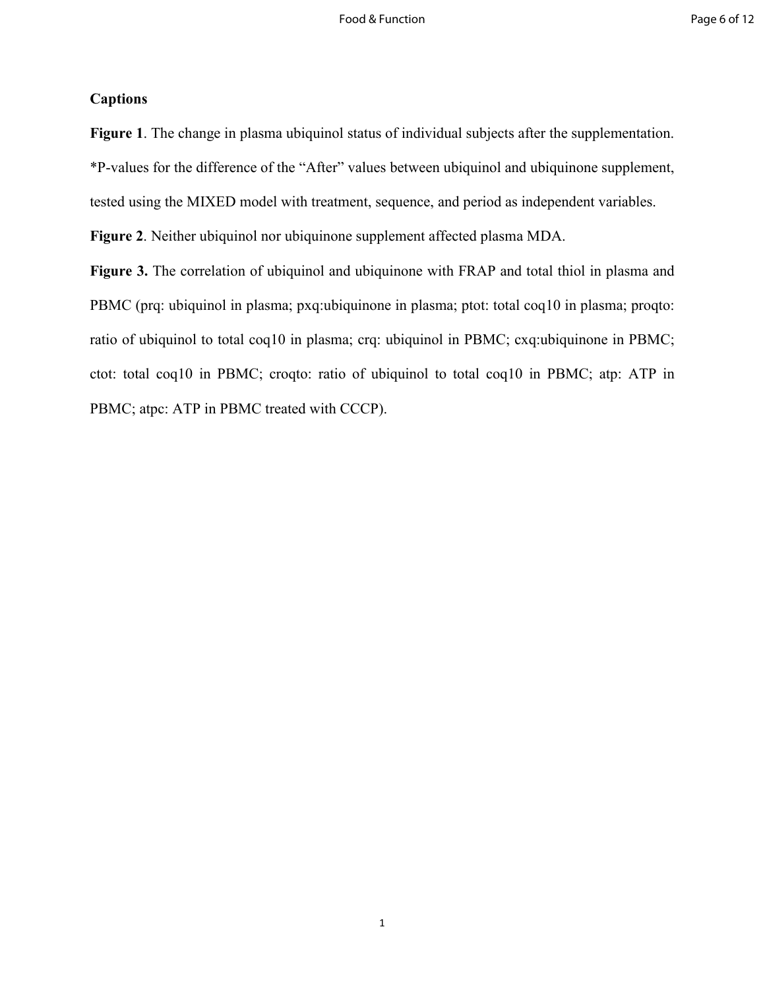# **Captions**

**Figure 1**. The change in plasma ubiquinol status of individual subjects after the supplementation. \*P-values for the difference of the "After" values between ubiquinol and ubiquinone supplement, tested using the MIXED model with treatment, sequence, and period as independent variables.

**Figure 2**. Neither ubiquinol nor ubiquinone supplement affected plasma MDA.

**Figure 3.** The correlation of ubiquinol and ubiquinone with FRAP and total thiol in plasma and PBMC (prq: ubiquinol in plasma; pxq:ubiquinone in plasma; ptot: total coq10 in plasma; proqto: ratio of ubiquinol to total coq10 in plasma; crq: ubiquinol in PBMC; cxq:ubiquinone in PBMC; ctot: total coq10 in PBMC; croqto: ratio of ubiquinol to total coq10 in PBMC; atp: ATP in PBMC; atpc: ATP in PBMC treated with CCCP).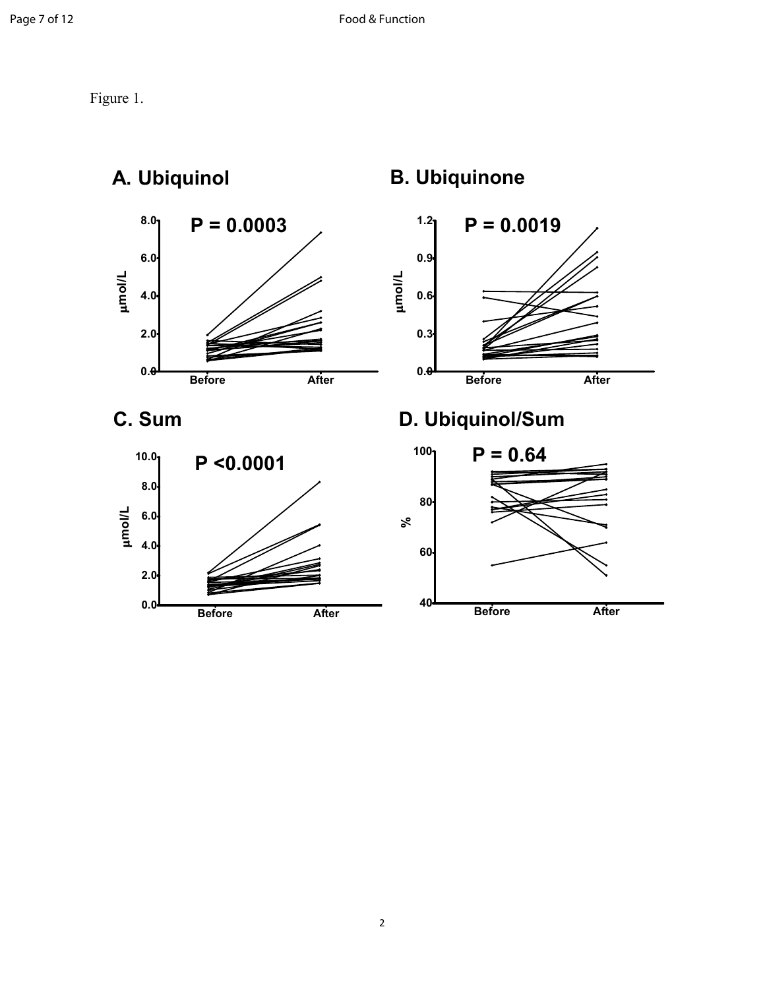Figure 1.



**Before After**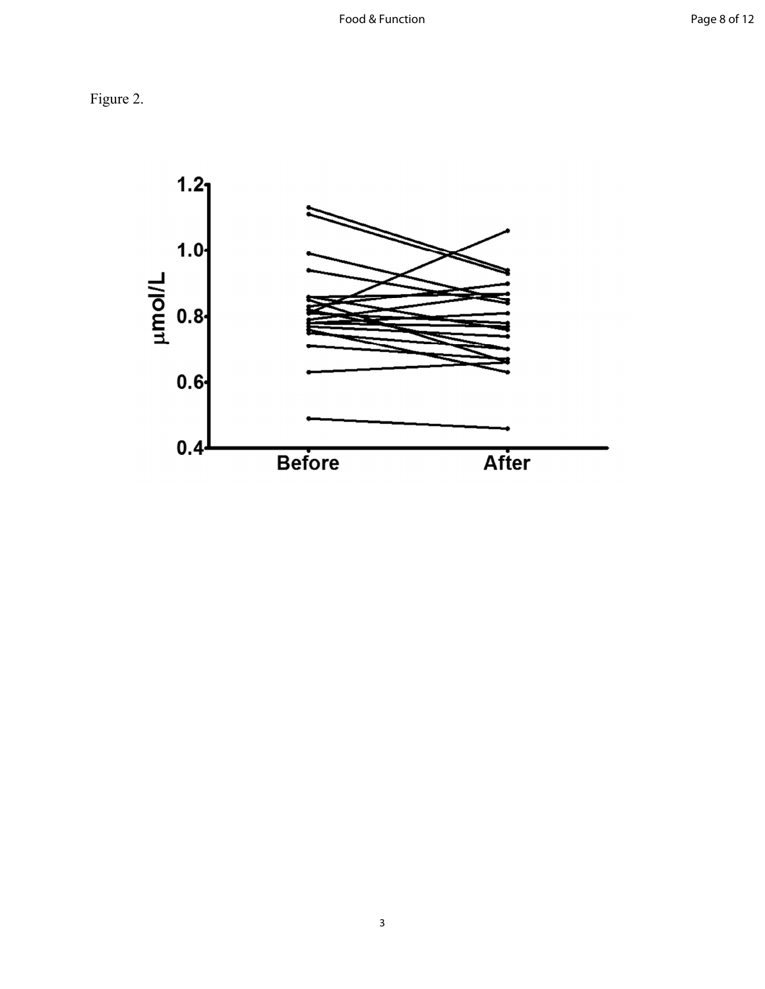Figure 2.

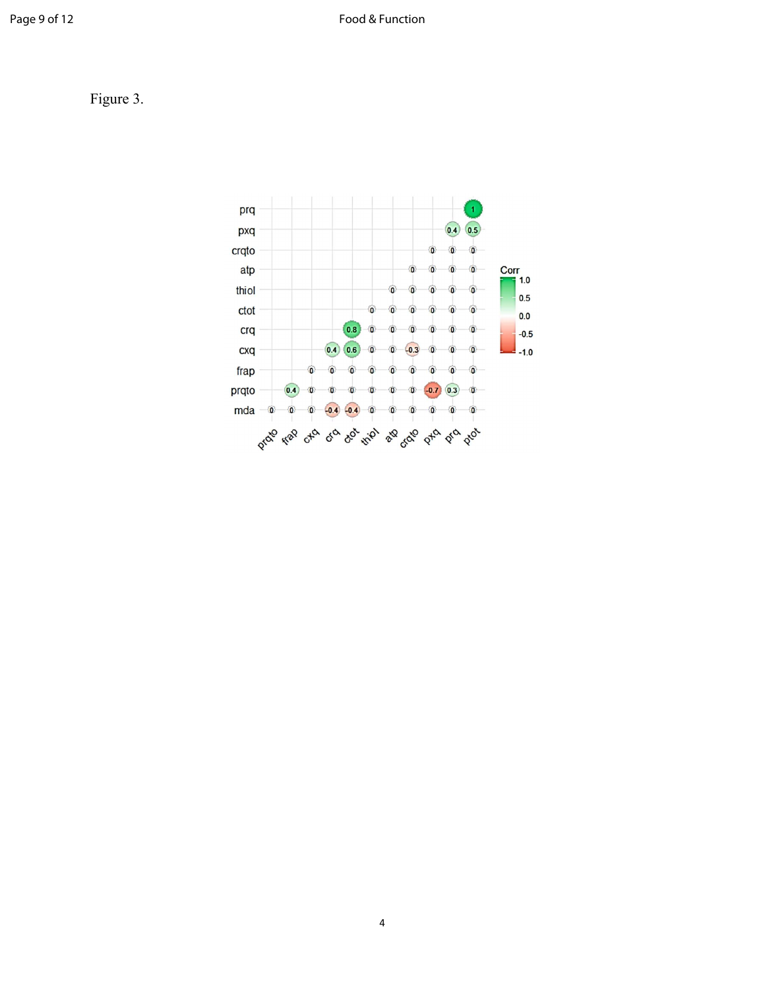Figure 3.

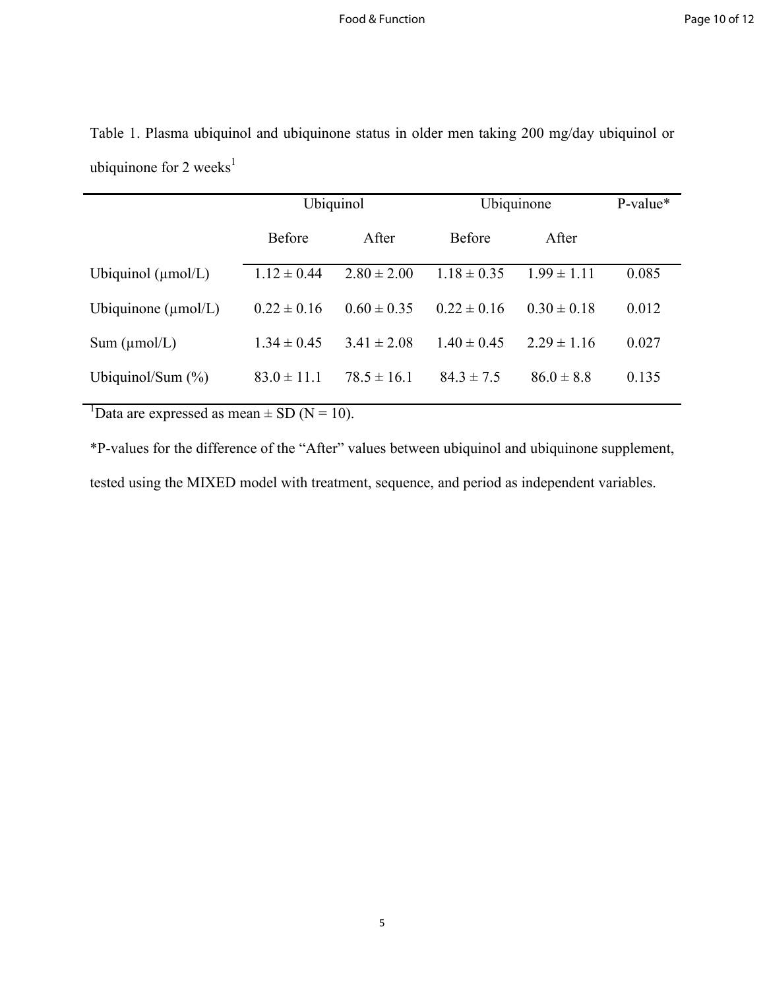|                                 | Ubiquinol       |                 | Ubiquinone      |                 | P-value* |
|---------------------------------|-----------------|-----------------|-----------------|-----------------|----------|
|                                 | <b>Before</b>   | After           | <b>Before</b>   | After           |          |
| Ubiquinol $(\mu \text{mol/L})$  | $1.12 \pm 0.44$ | $2.80 \pm 2.00$ | $1.18 \pm 0.35$ | $1.99 \pm 1.11$ | 0.085    |
| Ubiquinone $(\mu \text{mol/L})$ | $0.22 \pm 0.16$ | $0.60 \pm 0.35$ | $0.22 \pm 0.16$ | $0.30 \pm 0.18$ | 0.012    |
| Sum (µmol/L)                    | $1.34 \pm 0.45$ | $3.41 \pm 2.08$ | $1.40 \pm 0.45$ | $2.29 \pm 1.16$ | 0.027    |
| Ubiquinol/Sum $(\%)$            | $83.0 \pm 11.1$ | $78.5 \pm 16.1$ | $84.3 \pm 7.5$  | $86.0 \pm 8.8$  | 0.135    |

Table 1. Plasma ubiquinol and ubiquinone status in older men taking 200 mg/day ubiquinol or ubiquinone for  $2$  weeks<sup>1</sup>

<sup>1</sup>Data are expressed as mean  $\pm$  SD (N = 10).

\*P-values for the difference of the "After" values between ubiquinol and ubiquinone supplement, tested using the MIXED model with treatment, sequence, and period as independent variables.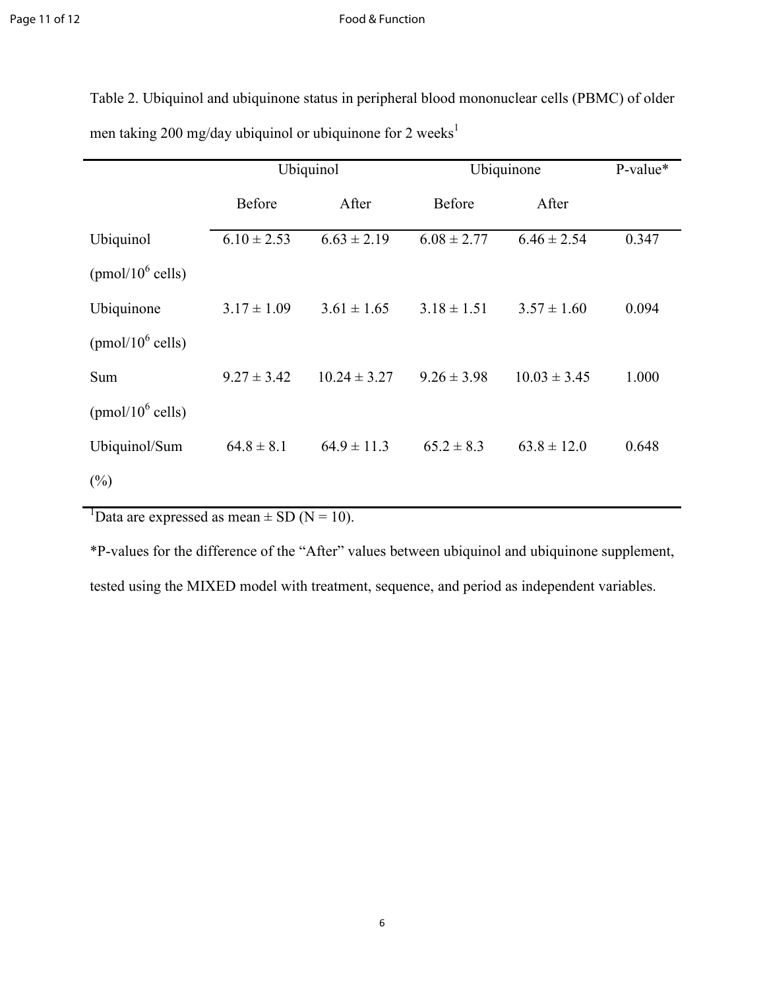## Page 11 of 12 Food & Function

Table 2. Ubiquinol and ubiquinone status in peripheral blood mononuclear cells (PBMC) of older men taking 200 mg/day ubiquinol or ubiquinone for 2 weeks<sup>1</sup>

|                      | Ubiquinol       |                  | Ubiquinone      |                  | P-value* |
|----------------------|-----------------|------------------|-----------------|------------------|----------|
|                      | Before          | After            | Before          | After            |          |
| Ubiquinol            | $6.10 \pm 2.53$ | $6.63 \pm 2.19$  | $6.08 \pm 2.77$ | $6.46 \pm 2.54$  | 0.347    |
| (pmol/ $10^6$ cells) |                 |                  |                 |                  |          |
| Ubiquinone           | $3.17 \pm 1.09$ | $3.61 \pm 1.65$  | $3.18 \pm 1.51$ | $3.57 \pm 1.60$  | 0.094    |
| (pmol/ $10^6$ cells) |                 |                  |                 |                  |          |
| Sum                  | $9.27 \pm 3.42$ | $10.24 \pm 3.27$ | $9.26 \pm 3.98$ | $10.03 \pm 3.45$ | 1.000    |
| (pmol/ $10^6$ cells) |                 |                  |                 |                  |          |
| Ubiquinol/Sum        | $64.8 \pm 8.1$  | $64.9 \pm 11.3$  | $65.2 \pm 8.3$  | $63.8 \pm 12.0$  | 0.648    |
| $(\%)$               |                 |                  |                 |                  |          |

<sup>1</sup>Data are expressed as mean  $\pm$  SD (N = 10).

\*P-values for the difference of the "After" values between ubiquinol and ubiquinone supplement,

tested using the MIXED model with treatment, sequence, and period as independent variables.